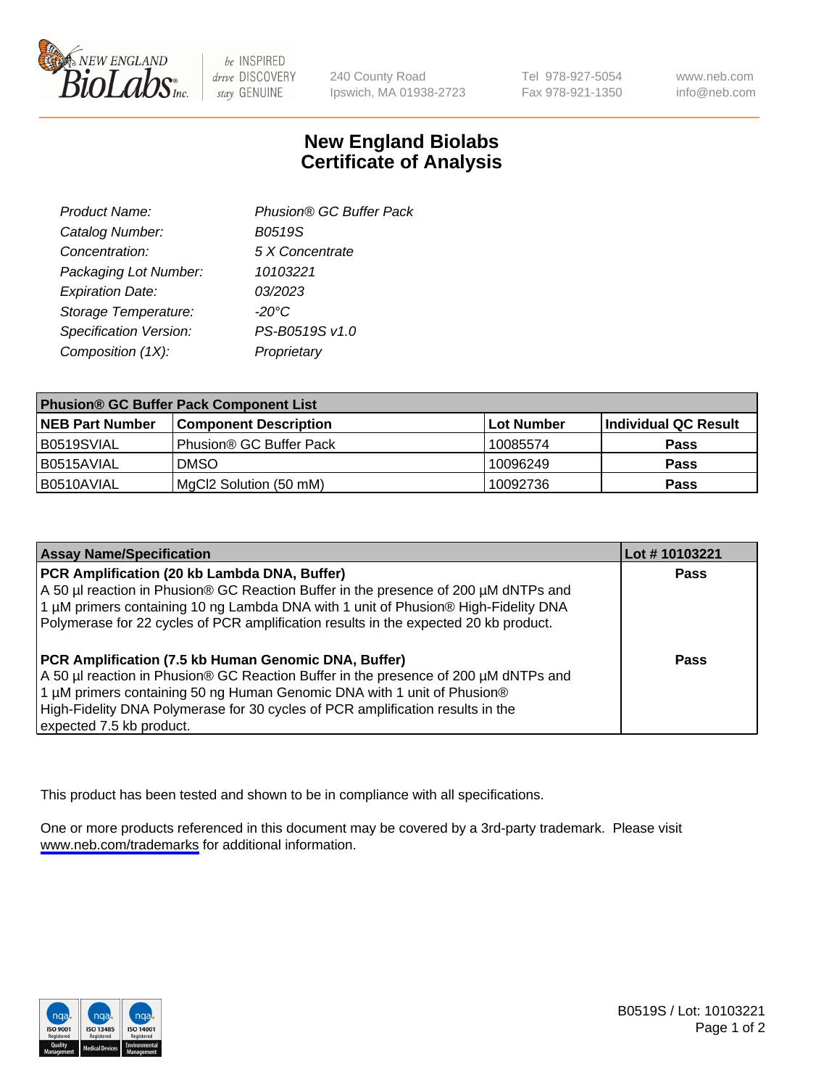

be INSPIRED drive DISCOVERY stay GENUINE

240 County Road Ipswich, MA 01938-2723 Tel 978-927-5054 Fax 978-921-1350

www.neb.com info@neb.com

## **New England Biolabs Certificate of Analysis**

| Product Name:           | Phusion® GC Buffer Pack |
|-------------------------|-------------------------|
| Catalog Number:         | B0519S                  |
| Concentration:          | 5 X Concentrate         |
| Packaging Lot Number:   | 10103221                |
| <b>Expiration Date:</b> | 03/2023                 |
| Storage Temperature:    | $-20^{\circ}$ C         |
| Specification Version:  | PS-B0519S v1.0          |
| Composition (1X):       | Proprietary             |
|                         |                         |

| <b>Phusion® GC Buffer Pack Component List</b> |                              |             |                      |  |
|-----------------------------------------------|------------------------------|-------------|----------------------|--|
| <b>NEB Part Number</b>                        | <b>Component Description</b> | ∣Lot Number | Individual QC Result |  |
| B0519SVIAL                                    | Phusion® GC Buffer Pack      | 10085574    | <b>Pass</b>          |  |
| B0515AVIAL                                    | <b>DMSO</b>                  | 10096249    | <b>Pass</b>          |  |
| B0510AVIAL                                    | MgCl2 Solution (50 mM)       | 10092736    | <b>Pass</b>          |  |

| <b>Assay Name/Specification</b>                                                                                                                                                                                                                                                                                                      | Lot #10103221 |
|--------------------------------------------------------------------------------------------------------------------------------------------------------------------------------------------------------------------------------------------------------------------------------------------------------------------------------------|---------------|
| PCR Amplification (20 kb Lambda DNA, Buffer)<br>A 50 µl reaction in Phusion® GC Reaction Buffer in the presence of 200 µM dNTPs and<br>1 μM primers containing 10 ng Lambda DNA with 1 unit of Phusion® High-Fidelity DNA<br>Polymerase for 22 cycles of PCR amplification results in the expected 20 kb product.                    | <b>Pass</b>   |
| PCR Amplification (7.5 kb Human Genomic DNA, Buffer)<br>A 50 µl reaction in Phusion® GC Reaction Buffer in the presence of 200 µM dNTPs and<br>1 µM primers containing 50 ng Human Genomic DNA with 1 unit of Phusion®<br>High-Fidelity DNA Polymerase for 30 cycles of PCR amplification results in the<br>expected 7.5 kb product. | <b>Pass</b>   |

This product has been tested and shown to be in compliance with all specifications.

One or more products referenced in this document may be covered by a 3rd-party trademark. Please visit <www.neb.com/trademarks>for additional information.